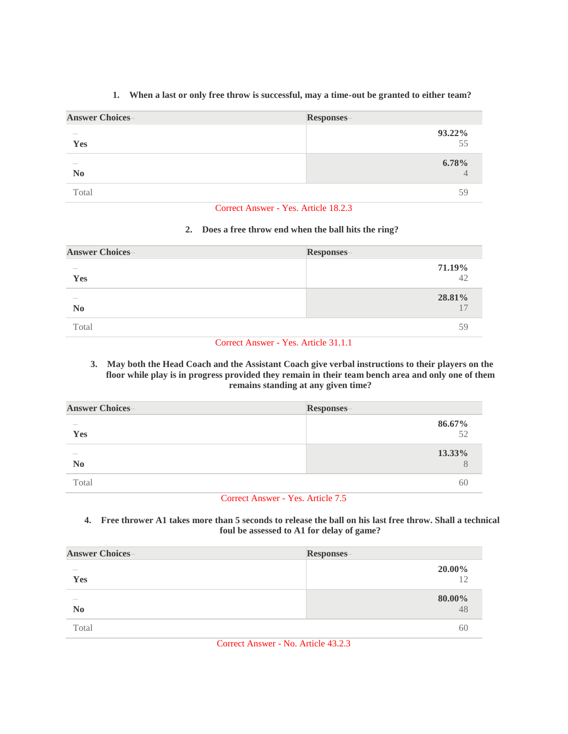#### **Answer Choices– Responses– – Yes 93.22%** 55 **– No 6.78%** 4

## **1. When a last or only free throw is successful, may a time-out be granted to either team?**

Total 59

#### Correct Answer - Yes. Article 18.2.3

# **2. Does a free throw end when the ball hits the ring?**

| <b>Answer Choices-</b>          | Responses-   |
|---------------------------------|--------------|
| $\cdots$<br>Yes                 | 71.19%<br>42 |
| $\frac{1}{2}$<br>N <sub>0</sub> | 28.81%       |
| Total                           | 59           |

# Correct Answer - Yes. Article 31.1.1

### **3. May both the Head Coach and the Assistant Coach give verbal instructions to their players on the floor while play is in progress provided they remain in their team bench area and only one of them remains standing at any given time?**

| <b>Answer Choices-</b>          | <b>Responses</b> |
|---------------------------------|------------------|
| $\frac{1}{2}$<br>Yes            | 86.67%<br>52     |
| $\frac{1}{2}$<br>N <sub>0</sub> | 13.33%           |
| Total                           | hl               |

#### Correct Answer - Yes. Article 7.5

### **4. Free thrower A1 takes more than 5 seconds to release the ball on his last free throw. Shall a technical foul be assessed to A1 for delay of game?**

| <b>Answer Choices</b>                                                                                                                                                                                                                                                                                                                                                                                                                                                      | Responses- |
|----------------------------------------------------------------------------------------------------------------------------------------------------------------------------------------------------------------------------------------------------------------------------------------------------------------------------------------------------------------------------------------------------------------------------------------------------------------------------|------------|
| $\frac{1}{2} \left( \frac{1}{2} \right) \left( \frac{1}{2} \right) \left( \frac{1}{2} \right) \left( \frac{1}{2} \right) \left( \frac{1}{2} \right) \left( \frac{1}{2} \right) \left( \frac{1}{2} \right) \left( \frac{1}{2} \right) \left( \frac{1}{2} \right) \left( \frac{1}{2} \right) \left( \frac{1}{2} \right) \left( \frac{1}{2} \right) \left( \frac{1}{2} \right) \left( \frac{1}{2} \right) \left( \frac{1}{2} \right) \left( \frac{1}{2} \right) \left( \frac$ | 20.00%     |
| Yes                                                                                                                                                                                                                                                                                                                                                                                                                                                                        | 12         |
| $\frac{1}{2}$                                                                                                                                                                                                                                                                                                                                                                                                                                                              | 80.00%     |
| N <sub>0</sub>                                                                                                                                                                                                                                                                                                                                                                                                                                                             | 48         |
| Total                                                                                                                                                                                                                                                                                                                                                                                                                                                                      | 60         |

Correct Answer - No. Article 43.2.3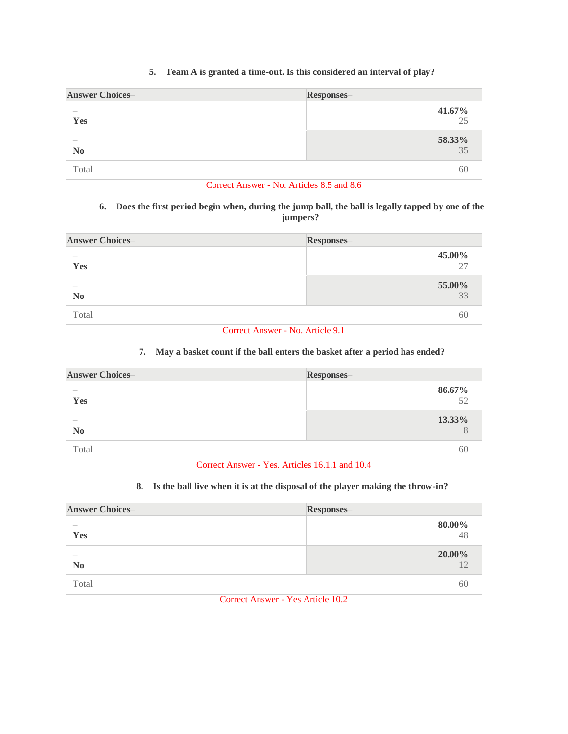## **5. Team A is granted a time-out. Is this considered an interval of play?**

| <b>Answer Choices-</b> | <b>Responses-</b> |
|------------------------|-------------------|
| $\frac{1}{2}$          | 41.67%            |
| Yes                    | 25                |
| $\frac{1}{2}$          | 58.33%            |
| N <sub>0</sub>         | $\overline{35}$   |
| Total                  | 60                |

## Correct Answer - No. Articles 8.5 and 8.6

### **6. Does the first period begin when, during the jump ball, the ball is legally tapped by one of the jumpers?**

| <b>Answer Choices</b>      | <b>Responses-</b> |
|----------------------------|-------------------|
| $\frac{1}{2}$<br>Yes       | 45.00%<br>27      |
| $\cdots$<br>N <sub>0</sub> | 55.00%<br>$33$    |
| Total                      | 60                |

Correct Answer - No. Article 9.1

#### **7. May a basket count if the ball enters the basket after a period has ended?**

| <b>Answer Choices</b>                                                                                                                                                                                                                                                                                                                                                                                                                                                      | Responses- |
|----------------------------------------------------------------------------------------------------------------------------------------------------------------------------------------------------------------------------------------------------------------------------------------------------------------------------------------------------------------------------------------------------------------------------------------------------------------------------|------------|
| $\frac{1}{2} \left( \frac{1}{2} \right) \left( \frac{1}{2} \right) \left( \frac{1}{2} \right) \left( \frac{1}{2} \right) \left( \frac{1}{2} \right) \left( \frac{1}{2} \right) \left( \frac{1}{2} \right) \left( \frac{1}{2} \right) \left( \frac{1}{2} \right) \left( \frac{1}{2} \right) \left( \frac{1}{2} \right) \left( \frac{1}{2} \right) \left( \frac{1}{2} \right) \left( \frac{1}{2} \right) \left( \frac{1}{2} \right) \left( \frac{1}{2} \right) \left( \frac$ | 86.67%     |
| Yes                                                                                                                                                                                                                                                                                                                                                                                                                                                                        | 52         |
| $\frac{1}{2}$                                                                                                                                                                                                                                                                                                                                                                                                                                                              | 13.33%     |
| N <sub>0</sub>                                                                                                                                                                                                                                                                                                                                                                                                                                                             | 8          |
| Total                                                                                                                                                                                                                                                                                                                                                                                                                                                                      | 60         |

Correct Answer - Yes. Articles 16.1.1 and 10.4

# **8. Is the ball live when it is at the disposal of the player making the throw-in?**

| <b>Answer Choices-</b> | <b>Responses</b> |
|------------------------|------------------|
| $\frac{1}{2}$          | 80.00%           |
| Yes                    | 48               |
| $\frac{1}{2}$          | 20.00%           |
| N <sub>0</sub>         | 12               |
| Total                  | 60               |

Correct Answer - Yes Article 10.2